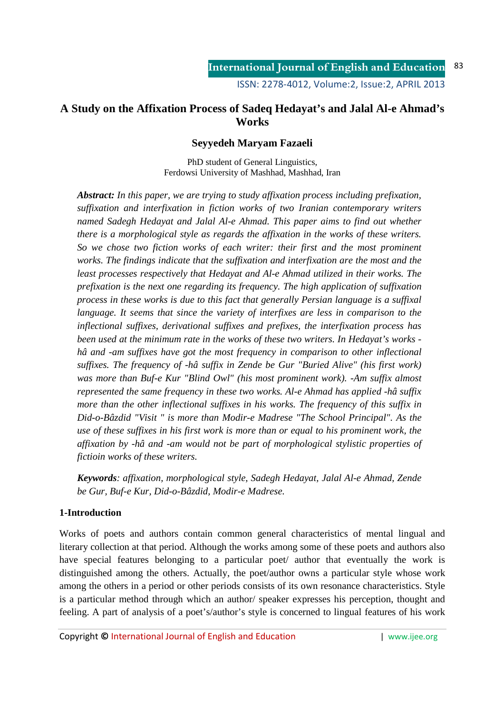# **A Study on the Affixation Process of Sadeq Hedayat's and Jalal Al-e Ahmad's Works**

# **Seyyedeh Maryam Fazaeli**

PhD student of General Linguistics, Ferdowsi University of Mashhad, Mashhad, Iran

*Abstract: In this paper, we are trying to study affixation process including prefixation, suffixation and interfixation in fiction works of two Iranian contemporary writers named Sadegh Hedayat and Jalal Al-e Ahmad. This paper aims to find out whether there is a morphological style as regards the affixation in the works of these writers. So we chose two fiction works of each writer: their first and the most prominent works. The findings indicate that the suffixation and interfixation are the most and the least processes respectively that Hedayat and Al-e Ahmad utilized in their works. The prefixation is the next one regarding its frequency. The high application of suffixation process in these works is due to this fact that generally Persian language is a suffixal language. It seems that since the variety of interfixes are less in comparison to the inflectional suffixes, derivational suffixes and prefixes, the interfixation process has been used at the minimum rate in the works of these two writers. In Hedayat's works hâ and -am suffixes have got the most frequency in comparison to other inflectional suffixes. The frequency of -hâ suffix in Zende be Gur "Buried Alive" (his first work)*  was more than Buf-e Kur "Blind Owl" (his most prominent work). -Am suffix almost *represented the same frequency in these two works. Al-e Ahmad has applied -hâ suffix more than the other inflectional suffixes in his works. The frequency of this suffix in Did-o-Bâzdid "Visit " is more than Modir-e Madrese "The School Principal". As the use of these suffixes in his first work is more than or equal to his prominent work, the affixation by -hâ and -am would not be part of morphological stylistic properties of fictioin works of these writers.* 

*Keywords: affixation, morphological style, Sadegh Hedayat, Jalal Al-e Ahmad, Zende be Gur, Buf-e Kur, Did-o-Bâzdid, Modir-e Madrese.* 

# **1-Introduction**

Works of poets and authors contain common general characteristics of mental lingual and literary collection at that period. Although the works among some of these poets and authors also have special features belonging to a particular poet/ author that eventually the work is distinguished among the others. Actually, the poet/author owns a particular style whose work among the others in a period or other periods consists of its own resonance characteristics. Style is a particular method through which an author/ speaker expresses his perception, thought and feeling. A part of analysis of a poet's/author's style is concerned to lingual features of his work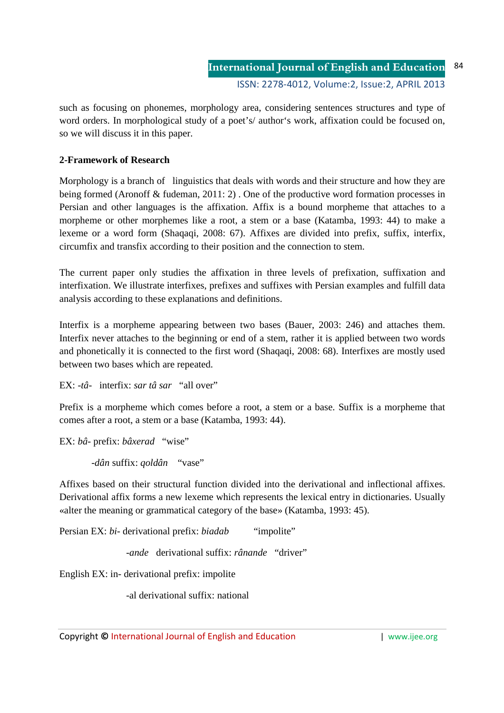such as focusing on phonemes, morphology area, considering sentences structures and type of word orders. In morphological study of a poet's/ author's work, affixation could be focused on, so we will discuss it in this paper.

# **2-Framework of Research**

Morphology is a branch of linguistics that deals with words and their structure and how they are being formed (Aronoff & fudeman, 2011: 2) . One of the productive word formation processes in Persian and other languages is the affixation. Affix is a bound morpheme that attaches to a morpheme or other morphemes like a root, a stem or a base (Katamba, 1993: 44) to make a lexeme or a word form (Shaqaqi, 2008: 67). Affixes are divided into prefix, suffix, interfix, circumfix and transfix according to their position and the connection to stem.

The current paper only studies the affixation in three levels of prefixation, suffixation and interfixation. We illustrate interfixes, prefixes and suffixes with Persian examples and fulfill data analysis according to these explanations and definitions.

Interfix is a morpheme appearing between two bases (Bauer, 2003: 246) and attaches them. Interfix never attaches to the beginning or end of a stem, rather it is applied between two words and phonetically it is connected to the first word (Shaqaqi, 2008: 68). Interfixes are mostly used between two bases which are repeated.

EX: -*tâ*- interfix: *sar tâ sar* "all over"

Prefix is a morpheme which comes before a root, a stem or a base. Suffix is a morpheme that comes after a root, a stem or a base (Katamba, 1993: 44).

EX: *bâ*- prefix: *bâxerad* "wise"

-*dân* suffix: *qoldân* "vase"

Affixes based on their structural function divided into the derivational and inflectional affixes. Derivational affix forms a new lexeme which represents the lexical entry in dictionaries. Usually «alter the meaning or grammatical category of the base» (Katamba, 1993: 45).

Persian EX: *bi*- derivational prefix: *biadab* "impolite"

-*ande* derivational suffix: *rânande* "driver"

English EX: in- derivational prefix: impolite

-al derivational suffix: national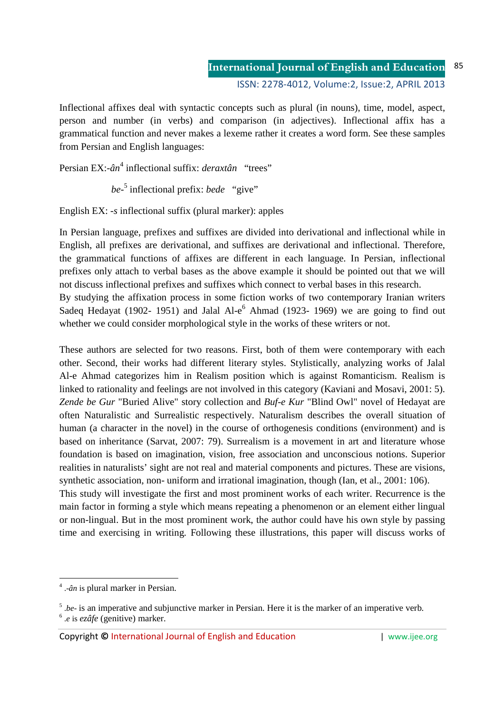Inflectional affixes deal with syntactic concepts such as plural (in nouns), time, model, aspect, person and number (in verbs) and comparison (in adjectives). Inflectional affix has a grammatical function and never makes a lexeme rather it creates a word form. See these samples from Persian and English languages:

Persian EX:- $\hat{a}n^4$  inflectional suffix: *deraxtân* "trees"

*be*-5 inflectional prefix: *bede* "give"

English EX: -*s* inflectional suffix (plural marker): apples

In Persian language, prefixes and suffixes are divided into derivational and inflectional while in English, all prefixes are derivational, and suffixes are derivational and inflectional. Therefore, the grammatical functions of affixes are different in each language. In Persian, inflectional prefixes only attach to verbal bases as the above example it should be pointed out that we will not discuss inflectional prefixes and suffixes which connect to verbal bases in this research. By studying the affixation process in some fiction works of two contemporary Iranian writers Sadeq Hedayat (1902- 1951) and Jalal Al- $e^6$  Ahmad (1923- 1969) we are going to find out whether we could consider morphological style in the works of these writers or not.

These authors are selected for two reasons. First, both of them were contemporary with each other. Second, their works had different literary styles. Stylistically, analyzing works of Jalal Al-e Ahmad categorizes him in Realism position which is against Romanticism. Realism is linked to rationality and feelings are not involved in this category (Kaviani and Mosavi, 2001: 5). *Zende be Gur* "Buried Alive" story collection and *Buf-e Kur* "Blind Owl" novel of Hedayat are often Naturalistic and Surrealistic respectively. Naturalism describes the overall situation of human (a character in the novel) in the course of orthogenesis conditions (environment) and is based on inheritance (Sarvat, 2007: 79). Surrealism is a movement in art and literature whose foundation is based on imagination, vision, free association and unconscious notions. Superior realities in naturalists' sight are not real and material components and pictures. These are visions, synthetic association, non- uniform and irrational imagination, though (Ian, et al., 2001: 106). This study will investigate the first and most prominent works of each writer. Recurrence is the main factor in forming a style which means repeating a phenomenon or an element either lingual or non-lingual. But in the most prominent work, the author could have his own style by passing time and exercising in writing. Following these illustrations, this paper will discuss works of

<u>.</u>

<sup>4</sup> .-*ân* is plural marker in Persian.

<sup>&</sup>lt;sup>5</sup>.*be*- is an imperative and subjunctive marker in Persian. Here it is the marker of an imperative verb. 6 .*e* is *ezâfe* (genitive) marker.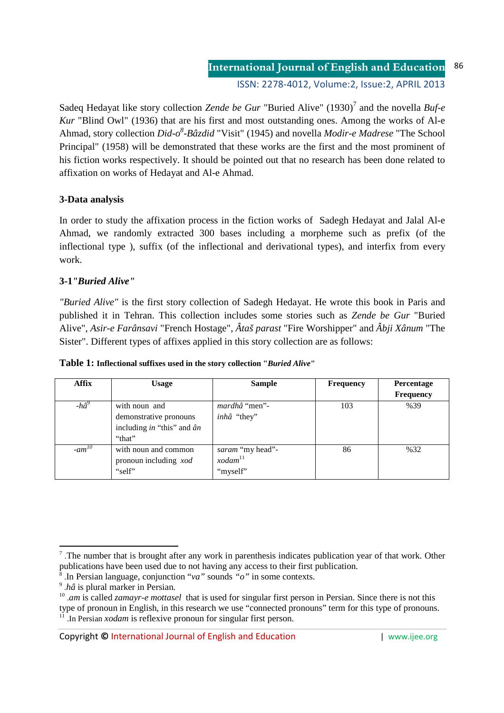ISSN: 2278-4012, Volume:2, Issue:2, APRIL 2013

Sadeq Hedayat like story collection *Zende be Gur* "Buried Alive" (1930)<sup>7</sup> and the novella *Buf-e Kur* "Blind Owl" (1936) that are his first and most outstanding ones. Among the works of Al-e Ahmad, story collection *Did-o<sup>8</sup> -Bâzdid* "Visit" (1945) and novella *Modir-e Madrese* "The School Principal" (1958) will be demonstrated that these works are the first and the most prominent of his fiction works respectively. It should be pointed out that no research has been done related to affixation on works of Hedayat and Al-e Ahmad.

# **3-Data analysis**

In order to study the affixation process in the fiction works of Sadegh Hedayat and Jalal Al-e Ahmad, we randomly extracted 300 bases including a morpheme such as prefix (of the inflectional type ), suffix (of the inflectional and derivational types), and interfix from every work.

# **3-1***"Buried Alive"*

*"Buried Alive"* is the first story collection of Sadegh Hedayat. He wrote this book in Paris and published it in Tehran. This collection includes some stories such as *Zende be Gur* "Buried Alive", *Asir-e Farânsavi* "French Hostage", *Âtaš parast* "Fire Worshipper" and *Âbji Xânum* "The Sister". Different types of affixes applied in this story collection are as follows:

| <b>Affix</b>   | <b>Usage</b>                                                                            | <b>Sample</b>                                       | <b>Frequency</b> | Percentage       |
|----------------|-----------------------------------------------------------------------------------------|-----------------------------------------------------|------------------|------------------|
|                |                                                                                         |                                                     |                  | <b>Frequency</b> |
| -h $\hat{a}^9$ | with noun and<br>demonstrative pronouns<br>including in "this" and $\hat{a}n$<br>"that" | <i>mardhâ</i> "men"-<br>inhâ "they"                 | 103              | %39              |
| $-am^{10}$     | with noun and common<br>pronoun including xod<br>"self"                                 | saram "my head"-<br>xodam <sup>11</sup><br>"myself" | 86               | %32              |

**Table 1: Inflectional suffixes used in the story collection "***Buried Alive***"**

<u>.</u>

<sup>&</sup>lt;sup>7</sup>. The number that is brought after any work in parenthesis indicates publication year of that work. Other publications have been used due to not having any access to their first publication. 8 .In Persian language, conjunction "*va"* sounds *"o"* in some contexts.

<sup>9</sup> .*hâ* is plural marker in Persian.

<sup>&</sup>lt;sup>10</sup> *am* is called *zamayr-e mottasel* that is used for singular first person in Persian. Since there is not this type of pronoun in English, in this research we use "connected pronouns" term for this type of pronouns. <sup>11</sup> .In Persian *xodam* is reflexive pronoun for singular first person.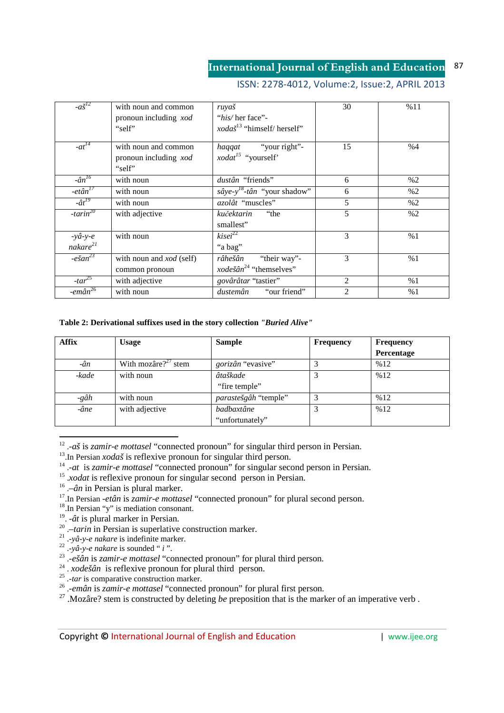# ISSN: 2278-4012, Volume:2, Issue:2, APRIL 2013

| $-a\check{S}^{12}$                      | with noun and common<br>pronoun including xod<br>"self" | ruyaš<br>"his/her face"-<br><i>xodaš</i> <sup>13</sup> "himself/herself" | 30             | %11 |
|-----------------------------------------|---------------------------------------------------------|--------------------------------------------------------------------------|----------------|-----|
| $-at^{14}$                              | with noun and common<br>pronoun including xod<br>"self" | haqqat "your right"-<br><i>xodat</i> <sup>15</sup> "yourself"            | 15             | %4  |
| $-\hat{a}n^{16}$                        | with noun                                               | dustân "friends"                                                         | 6              | %2  |
| $-et\hat{a}n^{17}$                      | with noun                                               | $s\hat{a}ye-y^{18}$ -tân "your shadow"                                   | 6              | %2  |
| $-\hat{a}t^{19}$                        | with noun                                               | azolât "muscles"                                                         | 5              | %2  |
| $-$ tarin <sup>20</sup>                 | with adjective                                          | "the<br>kučektarin<br>smallest"                                          | 5              | %2  |
| $-y\hat{a}-y-e$<br>nakare <sup>21</sup> | with noun                                               | kisei <sup>22</sup><br>"a bag"                                           | 3              | %1  |
| $-e\check{g}a\overline{n}^{23}$         | with noun and <i>xod</i> (self)<br>common pronoun       | "their way"-<br>râhešân<br><i>xodešân</i> <sup>24</sup> "themselves"     | 3              | %1  |
| $-tar^{25}$                             | with adjective                                          | govârâtar "tastier"                                                      | 2              | %1  |
| $-e$ mân $^{26}$                        | with noun                                               | "our friend"<br>dustemân                                                 | $\mathfrak{D}$ | %1  |

### **Table 2: Derivational suffixes used in the story collection** *"Buried Alive"*

| <b>Affix</b> | <b>Usage</b>            | <b>Sample</b>            | <b>Frequency</b> | <b>Frequency</b> |
|--------------|-------------------------|--------------------------|------------------|------------------|
|              |                         |                          |                  | Percentage       |
| $-\hat{a}n$  | With mozâre? $2^2$ stem | <i>gorizân</i> "evasive" |                  | %12              |
| -kade        | with noun               | âtaškade                 |                  | %12              |
|              |                         | "fire temple"            |                  |                  |
| -gâh         | with noun               | parastešgâh "temple"     |                  | %12              |
| -âne         | with adjective          | badbaxtâne               |                  | %12              |
|              |                         | "unfortunately"          |                  |                  |

12 .-*aš* is *zamir-e mottasel* "connected pronoun" for singular third person in Persian.

<sup>13</sup>.In Persian *xodaš* is reflexive pronoun for singular third person.

- <sup>14</sup> .-*at* is *zamir-e mottasel* "connected pronoun" for singular second person in Persian.
- <sup>15</sup> *xodat* is reflexive pronoun for singular second person in Persian.
- <sup>16</sup> .–*ân* in Persian is plural marker.
- <sup>17</sup>.In Persian -*etân* is *zamir-e mottasel* "connected pronoun" for plural second person.

 $18$ . In Persian "y" is mediation consonant.

- 19 . -*ât* is plural marker in Persian.
- <sup>20</sup> .–*tarin* in Persian is superlative construction marker.
- 21 .-*yâ-y-e nakare* is indefinite marker. 22 .-*yâ-y-e nakare* is sounded " *i* ".
- 
- 23 .-*ešân* is *zamir-e mottasel* "connected pronoun" for plural third person.
- <sup>24</sup> . *xodešân* is reflexive pronoun for plural third person.
- <sup>25</sup> *.-tar* is comparative construction marker.
- <sup>26</sup> .-*emân* is *zamir-e mottasel* "connected pronoun" for plural first person.

<sup>27</sup> .Mozâre? stem is constructed by deleting *be* preposition that is the marker of an imperative verb .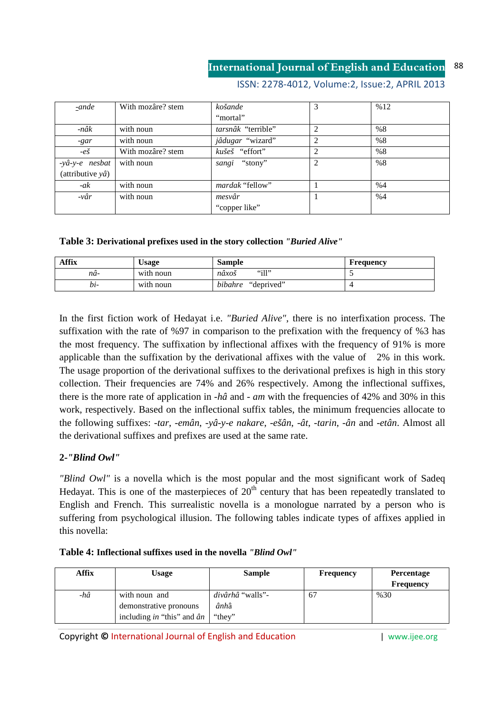# ISSN: 2278-4012, Volume:2, Issue:2, APRIL 2013

| -ande                     | With mozâre? stem | košande                | 3              | %12 |
|---------------------------|-------------------|------------------------|----------------|-----|
|                           |                   | "mortal"               |                |     |
| -nâk                      | with noun         | tarsnâk "terrible"     | $\overline{c}$ | %8  |
| -gar                      | with noun         | jâdugar "wizard"       | $\overline{c}$ | %8  |
| $-e\check{S}$             | With mozâre? stem | kušeš "effort"         | $\overline{c}$ | %8  |
| -yâ-y-e nesbat            | with noun         | sangi "stony"          | 2              | %8  |
| (attributive $y\hat{a}$ ) |                   |                        |                |     |
| $-ak$                     | with noun         | <i>mardak</i> "fellow" |                | %4  |
| $-v\hat{a}r$              | with noun         | mesvâr                 |                | %4  |
|                           |                   | "copper like"          |                |     |

**Table 3: Derivational prefixes used in the story collection** *"Buried Alive"*

| Affix | $\bigcup$ sage | <b>Sample</b>         | Frequency                |
|-------|----------------|-----------------------|--------------------------|
| nä-   | with noun      | " $i$ ll"<br>nâxoš    | $\overline{\phantom{a}}$ |
| bi-   | with noun      | bibahre<br>"deprived" |                          |

In the first fiction work of Hedayat i.e. *"Buried Alive"*, there is no interfixation process. The suffixation with the rate of %97 in comparison to the prefixation with the frequency of %3 has the most frequency. The suffixation by inflectional affixes with the frequency of 91% is more applicable than the suffixation by the derivational affixes with the value of 2% in this work. The usage proportion of the derivational suffixes to the derivational prefixes is high in this story collection. Their frequencies are 74% and 26% respectively. Among the inflectional suffixes, there is the more rate of application in -*hâ* and - *am* with the frequencies of 42% and 30% in this work, respectively. Based on the inflectional suffix tables, the minimum frequencies allocate to the following suffixes: -*tar*, -*emân*, -*yâ-y-e nakare*, -*ešân*, -*ât*, -*tarin*, -*ân* and -*etân*. Almost all the derivational suffixes and prefixes are used at the same rate.

## **2-***"Blind Owl"*

*"Blind Owl"* is a novella which is the most popular and the most significant work of Sadeq Hedayat. This is one of the masterpieces of  $20<sup>th</sup>$  century that has been repeatedly translated to English and French. This surrealistic novella is a monologue narrated by a person who is suffering from psychological illusion. The following tables indicate types of affixes applied in this novella:

## **Table 4: Inflectional suffixes used in the novella** *"Blind Owl"*

| <b>Affix</b> | Usage                              | <b>Sample</b>           | <b>Frequency</b> | <b>Percentage</b><br><b>Frequency</b> |
|--------------|------------------------------------|-------------------------|------------------|---------------------------------------|
| -hâ          | with noun and                      | <i>divârhâ</i> "walls"- | -67              | %30                                   |
|              | demonstrative pronouns             | ânhâ                    |                  |                                       |
|              | including in "this" and $\hat{a}n$ | "they"                  |                  |                                       |

Copyright **©** International Journal of English and Education | www.ijee.org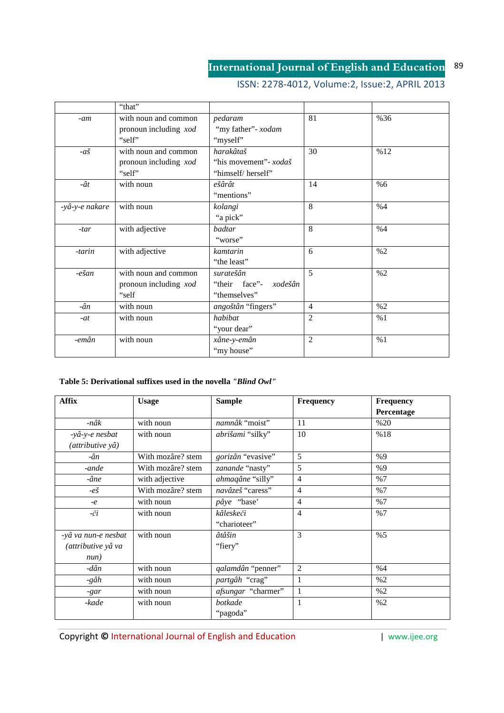# ISSN: 2278-4012, Volume:2, Issue:2, APRIL 2013

|                 | "that"                |                          |                |     |
|-----------------|-----------------------|--------------------------|----------------|-----|
| $-am$           | with noun and common  | pedaram                  | 81             | %36 |
|                 | pronoun including xod | "my father"- xodam       |                |     |
|                 | "self"                | "myself"                 |                |     |
| $-a\check{s}$   | with noun and common  | harakâtaš                | 30             | %12 |
|                 | pronoun including xod | "his movement" - xodaš   |                |     |
|                 | "self"                | "himself/herself"        |                |     |
| $-\hat{a}t$     | with noun             | ešârât                   | 14             | %6  |
|                 |                       | "mentions"               |                |     |
| -yâ-y-e nakare  | with noun             | kolangi                  | 8              | %4  |
|                 |                       | "a pick"                 |                |     |
| $-tar$          | with adjective        | badtar                   | 8              | %4  |
|                 |                       | "worse"                  |                |     |
| -tarin          | with adjective        | kamtarin                 | 6              | %2  |
|                 |                       | "the least"              |                |     |
| $-e\check{g}an$ | with noun and common  | suratešân                | 5              | %2  |
|                 | pronoun including xod | "their face"-<br>xodešân |                |     |
|                 | "self                 | "themselves"             |                |     |
| $-\hat{a}n$     | with noun             | angoštân "fingers"       | $\overline{4}$ | %2  |
| $-at$           | with noun             | habibat                  | $\overline{2}$ | %1  |
|                 |                       | "your dear"              |                |     |
| -emân           | with noun             | xâne-y-emân              | $\overline{2}$ | %1  |
|                 |                       | "my house"               |                |     |

## **Table 5: Derivational suffixes used in the novella** *"Blind Owl"*

| <b>Affix</b>        | <b>Usage</b>      | <b>Sample</b>      | Frequency      | <b>Frequency</b> |
|---------------------|-------------------|--------------------|----------------|------------------|
|                     |                   |                    |                | Percentage       |
| -nâk                | with noun         | namnâk "moist"     | 11             | %20              |
| -yâ-y-e nesbat      | with noun         | abrišami "silky"   | 10             | %18              |
| (attributive yâ)    |                   |                    |                |                  |
| -ân                 | With mozâre? stem | gorizân "evasive"  | 5              | %9               |
| -ande               | With mozâre? stem | zanande "nasty"    | 5              | %9               |
| -âne                | with adjective    | ahmaqâne "silly"   | 4              | %7               |
| $-e\check{S}$       | With mozâre? stem | navâzeš "caress"   | $\overline{4}$ | %7               |
| $-e$                | with noun         | pâye "base"        | 4              | %7               |
| $-\check{c}i$       | with noun         | kâleskeči          | $\overline{4}$ | %7               |
|                     |                   | "charioteer"       |                |                  |
| -yâ va nun-e nesbat | with noun         | âtâšin             | 3              | %5               |
| (attributive yâ va  |                   | "fiery"            |                |                  |
| num)                |                   |                    |                |                  |
| -dân                | with noun         | qalamdân "penner"  | 2              | %4               |
| -gâh                | with noun         | partgâh "crag"     | 1              | %2               |
| $-gar$              | with noun         | afsungar "charmer" |                | %2               |
| -kade               | with noun         | botkade            | 1              | %2               |
|                     |                   | "pagoda"           |                |                  |

Copyright  $\overline{O}$  International Journal of English and Education | www.ijee.org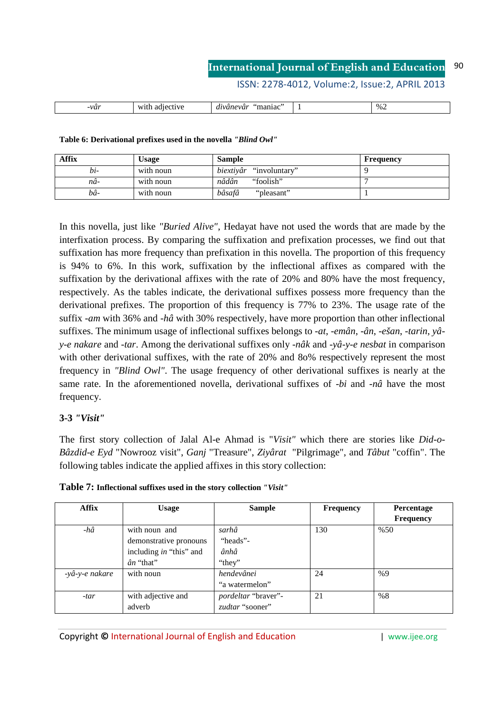ISSN: 2278-4012, Volume:2, Issue:2, APRIL 2013

| $\%$<br>·var<br>. <del>.</del><br>.<br>. |
|------------------------------------------|
|------------------------------------------|

**Table 6: Derivational prefixes used in the novella** *"Blind Owl"*

| Affix | <b>Usage</b> | <b>Sample</b>                  | <b>Frequency</b> |
|-------|--------------|--------------------------------|------------------|
| bi-   | with noun    | <i>biextiyâr</i> "involuntary" |                  |
| nâ-   | with noun    | "foolish"<br>nâdân             |                  |
| bâ-   | with noun    | bâsafâ<br>"pleasant"           |                  |

In this novella, just like *"Buried Alive"*, Hedayat have not used the words that are made by the interfixation process. By comparing the suffixation and prefixation processes, we find out that suffixation has more frequency than prefixation in this novella. The proportion of this frequency is 94% to 6%. In this work, suffixation by the inflectional affixes as compared with the suffixation by the derivational affixes with the rate of 20% and 80% have the most frequency, respectively. As the tables indicate, the derivational suffixes possess more frequency than the derivational prefixes. The proportion of this frequency is 77% to 23%. The usage rate of the suffix -*am* with 36% and -*hâ* with 30% respectively, have more proportion than other inflectional suffixes. The minimum usage of inflectional suffixes belongs to -*at*, -*emân*, -*ân*, -*ešan*, -*tarin*, *yây-e nakare* and -*tar*. Among the derivational suffixes only -*nâk* and -*yâ-y-e nesbat* in comparison with other derivational suffixes, with the rate of 20% and 80% respectively represent the most frequency in *"Blind Owl"*. The usage frequency of other derivational suffixes is nearly at the same rate. In the aforementioned novella, derivational suffixes of -*bi* and -*nâ* have the most frequency.

## **3-3** *"Visit"*

The first story collection of Jalal Al-e Ahmad is "*Visit"* which there are stories like *Did-o-Bâzdid-e Eyd* "Nowrooz visit", *Ganj* "Treasure", *Ziyârat* "Pilgrimage", and *Tâbut* "coffin". The following tables indicate the applied affixes in this story collection:

| <b>Affix</b>   | <b>Usage</b>                                                                            | <b>Sample</b>                          | <b>Frequency</b> | Percentage<br><b>Frequency</b> |
|----------------|-----------------------------------------------------------------------------------------|----------------------------------------|------------------|--------------------------------|
| $-h\hat{a}$    | with noun and<br>demonstrative pronouns<br>including in "this" and<br>$\hat{a}n$ "that" | sarhâ<br>"heads"-<br>ânhâ<br>"they"    | 130              | %50                            |
| -yâ-y-e nakare | with noun                                                                               | hendevânei<br>"a watermelon"           | 24               | %9                             |
| $-tar$         | with adjective and<br>adverb                                                            | pordeltar "braver"-<br>zudtar "sooner" | 21               | %8                             |

**Table 7: Inflectional suffixes used in the story collection** *"Visit"*

Copyright © International Journal of English and Education **Fig. 1** www.ijee.org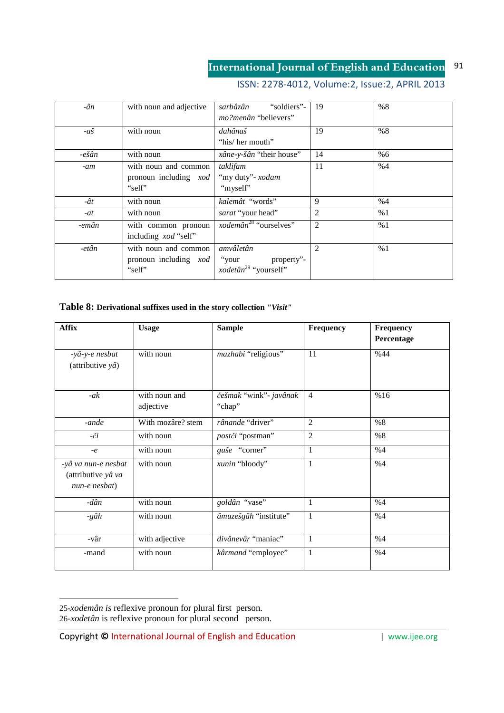# ISSN: 2278-4012, Volume:2, Issue:2, APRIL 2013

| -ân              | with noun and adjective                                        | "soldiers"-<br>sarbâzân<br><i>mo?menân</i> "believers"               | 19 | %8  |
|------------------|----------------------------------------------------------------|----------------------------------------------------------------------|----|-----|
| $-a\check{s}$    | with noun                                                      | dahânaš<br>"his/ her mouth"                                          | 19 | %8  |
| $-e\check{s}$ ân | with noun                                                      | xâne-y-šân "their house"                                             | 14 | %66 |
| -am              | with noun and common<br>pronoun including <i>xod</i><br>"self" | taklifam<br>"my duty"- xodam<br>"myself"                             | 11 | %4  |
| -ât              | with noun                                                      | kalemât "words"                                                      | 9  | %4  |
| -at              | with noun                                                      | sarat "your head"                                                    | 2  | %1  |
| -emân            | with common pronoun<br>including <i>xod</i> "self"             | <i>xodemân</i> <sup>28</sup> "ourselves"                             | 2  | %1  |
| -etân            | with noun and common<br>pronoun including <i>xod</i><br>"self" | amvâletân<br>property"-<br>"your<br>xodetân <sup>29</sup> "yourself" | 2  | %1  |

### **Table 8: Derivational suffixes used in the story collection** *"Visit"*

| <b>Affix</b>              | <b>Usage</b>      | <b>Sample</b>           | <b>Frequency</b> | <b>Frequency</b> |
|---------------------------|-------------------|-------------------------|------------------|------------------|
|                           |                   |                         |                  | Percentage       |
| -yâ-y-e nesbat            | with noun         | mazhabi "religious"     | 11               | %44              |
| (attributive $y\hat{a}$ ) |                   |                         |                  |                  |
|                           |                   |                         |                  |                  |
| $-ak$                     | with noun and     | češmak "wink" - javânak | $\overline{4}$   | %16              |
|                           | adjective         | "chap"                  |                  |                  |
| -ande                     | With mozâre? stem | rânande "driver"        | $\overline{2}$   | %8               |
| $-\check{c}i$             | with noun         | postči "postman"        | $\overline{c}$   | %8               |
| $-e$                      | with noun         | guše "corner"           | 1                | %4               |
| -yâ va nun-e nesbat       | with noun         | xunin "bloody"          | 1                | %4               |
| (attributive yâ va        |                   |                         |                  |                  |
| nun-e nesbat)             |                   |                         |                  |                  |
| -dân                      | with noun         | goldân "vase"           | 1                | %4               |
| -gâh                      | with noun         | âmuzešgâh "institute"   | $\mathbf{1}$     | %4               |
|                           |                   |                         |                  |                  |
| -vâr                      | with adjective    | divânevâr "maniac"      | $\mathbf{1}$     | %4               |
| -mand                     | with noun         | kârmand "employee"      | $\mathbf{1}$     | %4               |
|                           |                   |                         |                  |                  |

<sup>25-</sup>*xodemân is* reflexive pronoun for plural first person. 26-*xodetân* is reflexive pronoun for plural second person.

<u>.</u>

Copyright © International Journal of English and Education **Fig. 1** www.ijee.org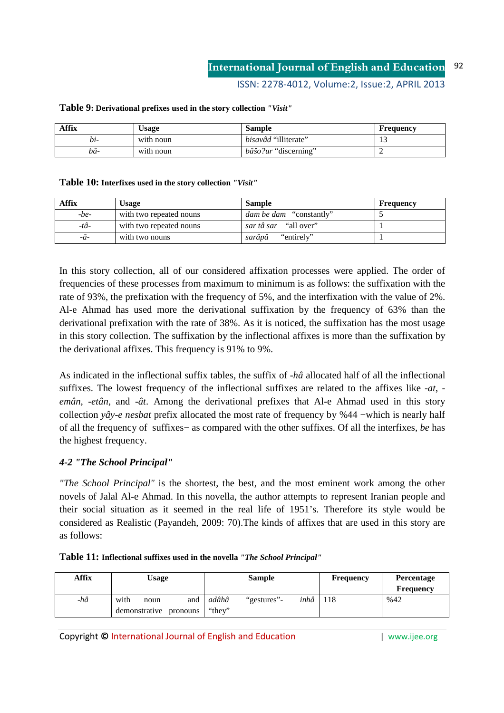ISSN: 2278-4012, Volume:2, Issue:2, APRIL 2013

| <b>Affix</b> | $\cup$ sage | <b>Sample</b>               | Frequency |
|--------------|-------------|-----------------------------|-----------|
| nı-          | with noun   | <i>bisavâd</i> "illiterate" |           |
| bâ-          | with noun   | <i>bâšo?ur</i> "discerning" | . .       |

### **Table 9: Derivational prefixes used in the story collection** *"Visit"*

## **Table 10: Interfixes used in the story collection** *"Visit"*

| <b>Affix</b> | <b>Usage</b>            | <b>Sample</b>                  | Frequency |
|--------------|-------------------------|--------------------------------|-----------|
| $-be-$       | with two repeated nouns | <i>dam be dam</i> "constantly" |           |
| -tâ-         | with two repeated nouns | "all over"<br>sar tâ sar       |           |
| -â-          | with two nouns          | "entirely"<br>sarânâ           |           |

In this story collection, all of our considered affixation processes were applied. The order of frequencies of these processes from maximum to minimum is as follows: the suffixation with the rate of 93%, the prefixation with the frequency of 5%, and the interfixation with the value of 2%. Al-e Ahmad has used more the derivational suffixation by the frequency of 63% than the derivational prefixation with the rate of 38%. As it is noticed, the suffixation has the most usage in this story collection. The suffixation by the inflectional affixes is more than the suffixation by the derivational affixes. This frequency is 91% to 9%.

As indicated in the inflectional suffix tables, the suffix of -*hâ* allocated half of all the inflectional suffixes. The lowest frequency of the inflectional suffixes are related to the affixes like -*at*, *emân*, -*etân*, and -*ât*. Among the derivational prefixes that Al-e Ahmad used in this story collection *yây-e nesbat* prefix allocated the most rate of frequency by %44 −which is nearly half of all the frequency of suffixes− as compared with the other suffixes. Of all the interfixes, *be* has the highest frequency.

## *4-2 "The School Principal"*

*"The School Principal"* is the shortest, the best, and the most eminent work among the other novels of Jalal Al-e Ahmad. In this novella, the author attempts to represent Iranian people and their social situation as it seemed in the real life of 1951's. Therefore its style would be considered as Realistic (Payandeh, 2009: 70).The kinds of affixes that are used in this story are as follows:

| Table 11: Inflectional suffixes used in the novella "The School Principal" |  |  |  |  |  |  |  |  |  |
|----------------------------------------------------------------------------|--|--|--|--|--|--|--|--|--|
|----------------------------------------------------------------------------|--|--|--|--|--|--|--|--|--|

| <b>Affix</b> | Usage                                            | <b>Sample</b>                         | <b>Frequency</b> | Percentage<br><b>Frequency</b> |
|--------------|--------------------------------------------------|---------------------------------------|------------------|--------------------------------|
| -hâ          | with<br>and<br>noun<br>demonstrative<br>pronouns | adâhâ<br>inhâ<br>"gestures"<br>"they" | 118              | %42                            |

Copyright © International Journal of English and Education **Fig. 1** www.ijee.org

92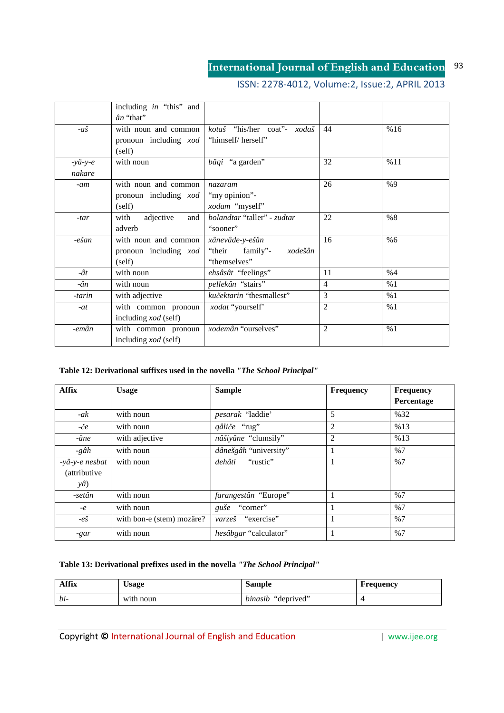# ISSN: 2278-4012, Volume:2, Issue:2, APRIL 2013

|                  | including in "this" and     |                             |                |     |
|------------------|-----------------------------|-----------------------------|----------------|-----|
|                  | $\hat{a}n$ "that"           |                             |                |     |
| $-a\check{s}$    | with noun and common        | kotaš "his/her coat"- xodaš | 44             | %16 |
|                  | pronoun including xod       | "himself/herself"           |                |     |
|                  | (self)                      |                             |                |     |
| $-y\hat{a}-y-e$  | with noun                   | bâqi "a garden"             | 32             | %11 |
| nakare           |                             |                             |                |     |
| $-am$            | with noun and common        | nazaram                     | 26             | %9  |
|                  | pronoun including xod       | "my opinion"-               |                |     |
|                  | (self)                      | xodam "myself"              |                |     |
| $-tar$           | with<br>adjective<br>and    | bolandtar "taller" - zudtar | 22             | %8  |
|                  | adverb                      | "sooner"                    |                |     |
| $-e\check{g}$ an | with noun and common        | xânevâde-y-ešân             | 16             | %6  |
|                  | pronoun including xod       | "their family"-<br>xodešân  |                |     |
|                  | (self)                      | "themselves"                |                |     |
| $-\hat{a}t$      | with noun                   | ehsâsât "feelings"          | 11             | %4  |
| -ân              | with noun                   | pellekân "stairs"           | $\overline{4}$ | %1  |
| -tarin           | with adjective              | kučektarin "thesmallest"    | 3              | %1  |
| $-at$            | with common pronoun         | xodat "yourself"            | $\overline{2}$ | %1  |
|                  | including <i>xod</i> (self) |                             |                |     |
| -emân            | with common pronoun         | xodemân "ourselves"         | $\overline{2}$ | %1  |
|                  | including <i>xod</i> (self) |                             |                |     |

## **Table 12: Derivational suffixes used in the novella** *"The School Principal"*

| <b>Affix</b>         | <b>Usage</b>              | <b>Sample</b>               | <b>Frequency</b> | <b>Frequency</b><br>Percentage |
|----------------------|---------------------------|-----------------------------|------------------|--------------------------------|
|                      |                           |                             |                  |                                |
| $-ak$                | with noun                 | <i>pesarak</i> "laddie"     | 5                | %32                            |
| -če                  | with noun                 | qâliče "rug"                | 2                | %13                            |
| -âne                 | with adjective            | nâšiyâne "clumsily"         | 2                | %13                            |
| -gâh                 | with noun                 | dânešgâh "university"       | 1                | %7                             |
| -yâ-y-e nesbat       | with noun                 | "rustic"<br>dehâti          | 1                | %7                             |
| <i>(attributive)</i> |                           |                             |                  |                                |
| $y\hat{a}$           |                           |                             |                  |                                |
| -setân               | with noun                 | <i>farangestân</i> "Europe" |                  | %7                             |
| $-e$                 | with noun                 | "corner"<br>guše            |                  | %7                             |
| $-e\check{S}$        | with bon-e (stem) mozâre? | varzeš "exercise"           | 1                | %7                             |
| -gar                 | with noun                 | hesâbgar "calculator"       |                  | %7                             |

## **Table 13: Derivational prefixes used in the novella** *"The School Principal"*

| <b>Affix</b> | Usage     | Sample                | Frequency |
|--------------|-----------|-----------------------|-----------|
| $bi-$        | with noun | "deprived"<br>binasib |           |

Copyright © International Journal of English and Education **| www.ijee.org** 

93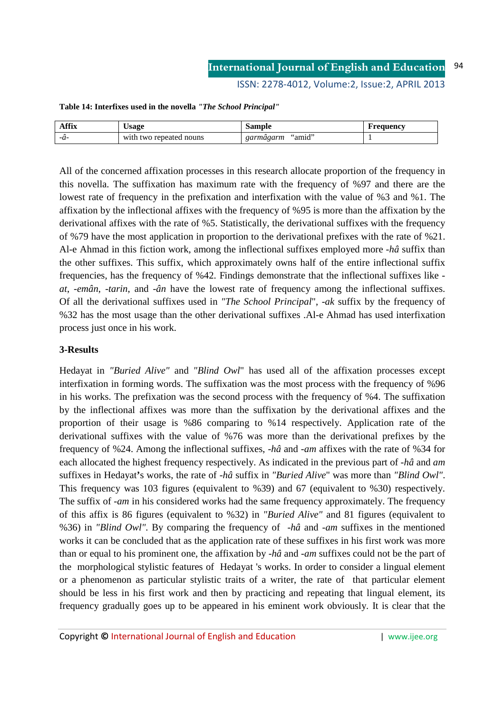ISSN: 2278-4012, Volume:2, Issue:2, APRIL 2013

| <b>Affix</b> | Usage                   | Sample              | Frequency |
|--------------|-------------------------|---------------------|-----------|
| -71-         | with two repeated nouns | "amid"<br>garmâgarm |           |

**Table 14: Interfixes used in the novella** *"The School Principal"*

All of the concerned affixation processes in this research allocate proportion of the frequency in this novella. The suffixation has maximum rate with the frequency of %97 and there are the lowest rate of frequency in the prefixation and interfixation with the value of %3 and %1. The affixation by the inflectional affixes with the frequency of %95 is more than the affixation by the derivational affixes with the rate of %5. Statistically, the derivational suffixes with the frequency of %79 have the most application in proportion to the derivational prefixes with the rate of %21. Al-e Ahmad in this fiction work, among the inflectional suffixes employed more -*hâ* suffix than the other suffixes. This suffix, which approximately owns half of the entire inflectional suffix frequencies, has the frequency of %42. Findings demonstrate that the inflectional suffixes like *at*, -*emân*, -*tarin*, and -*ân* have the lowest rate of frequency among the inflectional suffixes. Of all the derivational suffixes used in *"The School Principal*", -*ak* suffix by the frequency of %32 has the most usage than the other derivational suffixes .Al-e Ahmad has used interfixation process just once in his work.

## **3-Results**

Hedayat in *"Buried Alive"* and *"Blind Owl*" has used all of the affixation processes except interfixation in forming words. The suffixation was the most process with the frequency of %96 in his works. The prefixation was the second process with the frequency of %4. The suffixation by the inflectional affixes was more than the suffixation by the derivational affixes and the proportion of their usage is %86 comparing to %14 respectively. Application rate of the derivational suffixes with the value of %76 was more than the derivational prefixes by the frequency of %24. Among the inflectional suffixes, -*hâ* and -*am* affixes with the rate of %34 for each allocated the highest frequency respectively. As indicated in the previous part of -*hâ* and *am* suffixes in Hedayat**'**s works, the rate of -*hâ* suffix in *"Buried Alive*" was more than *"Blind Owl"*. This frequency was 103 figures (equivalent to %39) and 67 (equivalent to %30) respectively. The suffix of -*am* in his considered works had the same frequency approximately. The frequency of this affix is 86 figures (equivalent to %32) in *"Buried Alive"* and 81 figures (equivalent to %36) in *"Blind Owl".* By comparing the frequency of -*hâ* and -*am* suffixes in the mentioned works it can be concluded that as the application rate of these suffixes in his first work was more than or equal to his prominent one, the affixation by -*hâ* and -*am* suffixes could not be the part of the morphological stylistic features of Hedayat 's works. In order to consider a lingual element or a phenomenon as particular stylistic traits of a writer, the rate of that particular element should be less in his first work and then by practicing and repeating that lingual element, its frequency gradually goes up to be appeared in his eminent work obviously. It is clear that the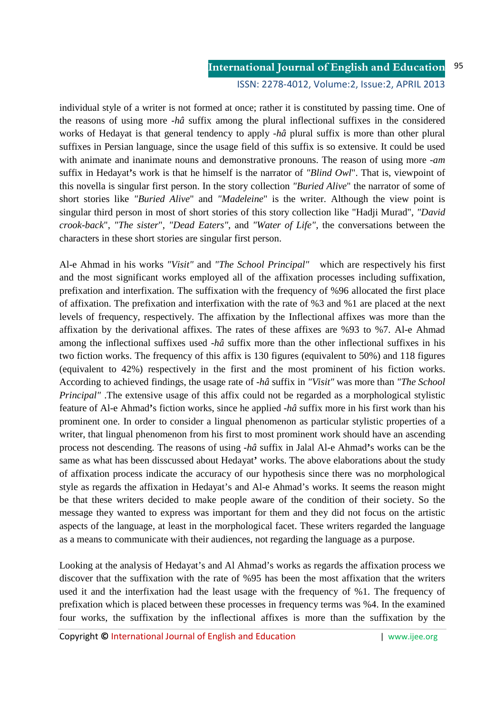### **International Journal of English and Education** ISSN: 2278-4012, Volume:2, Issue:2, APRIL 2013 95

individual style of a writer is not formed at once; rather it is constituted by passing time. One of the reasons of using more -*hâ* suffix among the plural inflectional suffixes in the considered works of Hedayat is that general tendency to apply -*hâ* plural suffix is more than other plural suffixes in Persian language, since the usage field of this suffix is so extensive. It could be used with animate and inanimate nouns and demonstrative pronouns. The reason of using more -*am* suffix in Hedayat**'**s work is that he himself is the narrator of *"Blind Owl*". That is, viewpoint of this novella is singular first person. In the story collection *"Buried Alive*" the narrator of some of short stories like *"Buried Alive*" and *"Madeleine*" is the writer. Although the view point is singular third person in most of short stories of this story collection like "Hadji Murad", *"David crook-back*", *"The sister*", *"Dead Eaters"*, and *"Water of Life"*, the conversations between the characters in these short stories are singular first person.

Al-e Ahmad in his works *"Visit"* and *"The School Principal"* which are respectively his first and the most significant works employed all of the affixation processes including suffixation, prefixation and interfixation. The suffixation with the frequency of %96 allocated the first place of affixation. The prefixation and interfixation with the rate of %3 and %1 are placed at the next levels of frequency, respectively. The affixation by the Inflectional affixes was more than the affixation by the derivational affixes. The rates of these affixes are %93 to %7. Al-e Ahmad among the inflectional suffixes used -*hâ* suffix more than the other inflectional suffixes in his two fiction works. The frequency of this affix is 130 figures (equivalent to 50%) and 118 figures (equivalent to 42%) respectively in the first and the most prominent of his fiction works. According to achieved findings, the usage rate of -*hâ* suffix in *"Visit"* was more than *"The School Principal"* .The extensive usage of this affix could not be regarded as a morphological stylistic feature of Al-e Ahmad**'**s fiction works, since he applied -*hâ* suffix more in his first work than his prominent one. In order to consider a lingual phenomenon as particular stylistic properties of a writer, that lingual phenomenon from his first to most prominent work should have an ascending process not descending. The reasons of using -*hâ* suffix in Jalal Al-e Ahmad**'**s works can be the same as what has been disscussed about Hedayat**'** works. The above elaborations about the study of affixation process indicate the accuracy of our hypothesis since there was no morphological style as regards the affixation in Hedayat's and Al-e Ahmad's works. It seems the reason might be that these writers decided to make people aware of the condition of their society. So the message they wanted to express was important for them and they did not focus on the artistic aspects of the language, at least in the morphological facet. These writers regarded the language as a means to communicate with their audiences, not regarding the language as a purpose.

Looking at the analysis of Hedayat's and Al Ahmad's works as regards the affixation process we discover that the suffixation with the rate of %95 has been the most affixation that the writers used it and the interfixation had the least usage with the frequency of %1. The frequency of prefixation which is placed between these processes in frequency terms was %4. In the examined four works, the suffixation by the inflectional affixes is more than the suffixation by the